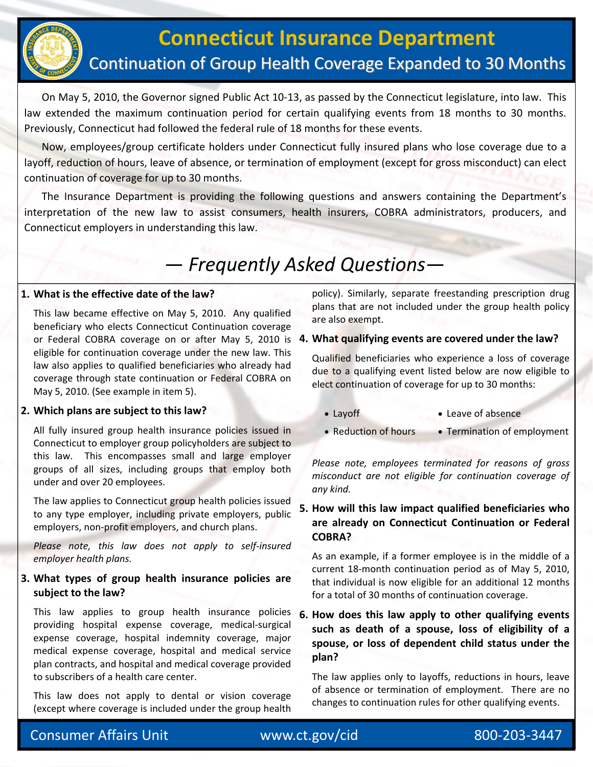

## **Connecticut Insurance Department** Continuation of Group Health Coverage Expanded to 30 Months

 On May 5, 2010, the Governor signed Public Act 10‐13, as passed by the Connecticut legislature, into law. This law extended the maximum continuation period for certain qualifying events from 18 months to 30 months. Previously, Connecticut had followed the federal rule of 18 months for these events.

 Now, employees/group certificate holders under Connecticut fully insured plans who lose coverage due to a layoff, reduction of hours, leave of absence, or termination of employment (except for gross misconduct) can elect continuation of coverage for up to 30 months.

 The Insurance Department is providing the following questions and answers containing the Department's interpretation of the new law to assist consumers, health insurers, COBRA administrators, producers, and Connecticut employers in understanding this law.

# *— Frequently Asked Questions—*

#### **1. What is the effective date of the law?**

 This law became effective on May 5, 2010. Any qualified beneficiary who elects Connecticut Continuation coverage or Federal COBRA coverage on or after May 5, 2010 is **. What qualifying events are covered under the law? 4** eligible for continuation coverage under the new law. This law also applies to qualified beneficiaries who already had coverage through state continuation or Federal COBRA on May 5, 2010. (See example in item 5).

#### **2. Which plans are subject to this law?**

 All fully insured group health insurance policies issued in Connecticut to employer group policyholders are subject to this law. This encompasses small and large employer groups of all sizes, including groups that employ both under and over 20 employees.

The law applies to Connecticut group health policies issued to any type employer, including private employers, public employers, non‐profit employers, and church plans.

 *Please note, this law does not apply to self‐insured employer health plans.*

#### **3. What types of group health insurance policies are subject to the law?**

 This law applies to group health insurance policies providing hospital expense coverage, medical‐surgical expense coverage, hospital indemnity coverage, major medical expense coverage, hospital and medical service plan contracts, and hospital and medical coverage provided to subscribers of a health care center.

 This law does not apply to dental or vision coverage (except where coverage is included under the group health policy). Similarly, separate freestanding prescription drug plans that are not included under the group health policy are also exempt.

Qualified beneficiaries who experience a loss of coverage due to a qualifying event listed below are now eligible to elect continuation of coverage for up to 30 months:

- Layoff Leave of absence
- Reduction of hours Termination of employment

*Please note, employees terminated for reasons of gross misconduct are not eligible for continuation coverage of any kind.*

#### **. How will this law impact qualified beneficiaries who 5 are already on Connecticut Continuation or Federal COBRA?**

As an example, if a former employee is in the middle of a current 18‐month continuation period as of May 5, 2010, that individual is now eligible for an additional 12 months for a total of 30 months of continuation coverage.

**. How does this law apply to other qualifying events 6 such as death of a spouse, loss of eligibility of a spouse, or loss of dependent child status under the plan?**

The law applies only to layoffs, reductions in hours, leave of absence or termination of employment. There are no changes to continuation rules for other qualifying events.